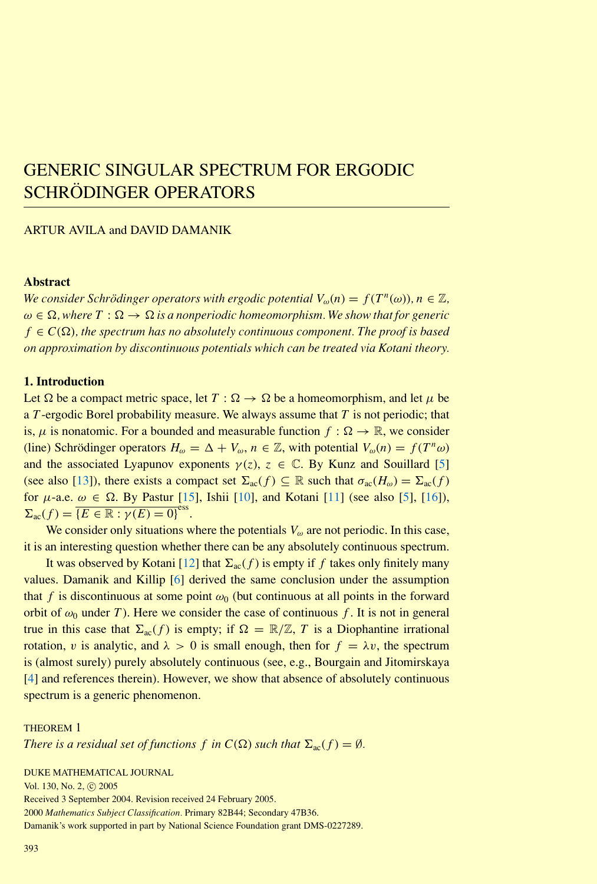# GENERIC SINGULAR SPECTRUM FOR ERGODIC SCHRÖDINGER OPERATORS

# ARTUR AVILA and DAVID DAMANIK

# <span id="page-0-1"></span>**Abstract**

*We consider Schrödinger operators with ergodic potential*  $V_{\omega}(n) = f(T^{n}(\omega))$ *, n* ∈ Z*,*  $\omega \in \Omega$ , where  $T: \Omega \to \Omega$  is a nonperiodic homeomorphism. We show that for generic  $f \in C(\Omega)$ , the spectrum has no absolutely continuous component. The proof is based *on approximation by discontinuous potentials which can be treated via Kotani theory.*

# **1. Introduction**

Let  $\Omega$  be a compact metric space, let  $T : \Omega \to \Omega$  be a homeomorphism, and let  $\mu$  be a *T* -ergodic Borel probability measure. We always assume that *T* is not periodic; that is,  $\mu$  is nonatomic. For a bounded and measurable function  $f : \Omega \to \mathbb{R}$ , we consider (line) Schrödinger operators  $H_{\omega} = \Delta + V_{\omega}, n \in \mathbb{Z}$ , with potential  $V_{\omega}(n) = f(T^n \omega)$ and the associated Lyapunov exponents  $\gamma(z)$ ,  $z \in \mathbb{C}$ . By Kunz and Souillard [\[5\]](#page-7-0) (see also [\[13\]](#page-7-1)), there exists a compact set  $\Sigma_{ac}(f) \subseteq \mathbb{R}$  such that  $\sigma_{ac}(H_{\omega}) = \Sigma_{ac}(f)$ for  $\mu$ -a.e.  $\omega \in \Omega$ . By Pastur [\[15\]](#page-7-2), Ishii [\[10\]](#page-7-3), and Kotani [\[11\]](#page-7-4) (see also [\[5\]](#page-7-0), [\[16\]](#page-7-5)),  $\Sigma_{\text{ac}}(f) = \overline{\{E \in \mathbb{R} : \gamma(E) = 0\}}^{\text{ess}}.$ 

We consider only situations where the potentials *Vω* are not periodic. In this case, it is an interesting question whether there can be any absolutely continuous spectrum.

It was observed by Kotani [\[12\]](#page-7-6) that  $\Sigma_{ac}(f)$  is empty if *f* takes only finitely many values. Damanik and Killip [\[6\]](#page-7-7) derived the same conclusion under the assumption that *f* is discontinuous at some point  $\omega_0$  (but continuous at all points in the forward orbit of  $\omega_0$  under *T*). Here we consider the case of continuous *f*. It is not in general true in this case that  $\Sigma_{ac}(f)$  is empty; if  $\Omega = \mathbb{R}/\mathbb{Z}$ , T is a Diophantine irrational rotation, *v* is analytic, and  $\lambda > 0$  is small enough, then for  $f = \lambda v$ , the spectrum is (almost surely) purely absolutely continuous (see, e.g., Bourgain and Jitomirskaya [\[4\]](#page-6-0) and references therein). However, we show that absence of absolutely continuous spectrum is a generic phenomenon.

#### THEOREM 1

*There is a residual set of functions f in*  $C(\Omega)$  *such that*  $\Sigma_{ac}(f) = \emptyset$ *.* 

DUKE MATHEMATICAL JOURNAL

Vol. 130, No. 2, © 2005

Received 3 September 2004. Revision received 24 February 2005.

<span id="page-0-0"></span>2000 *Mathematics Subject Classification.* Primary 82B44; Secondary 47B36.

Damanik's work supported in part by National Science Foundation grant DMS-0227289.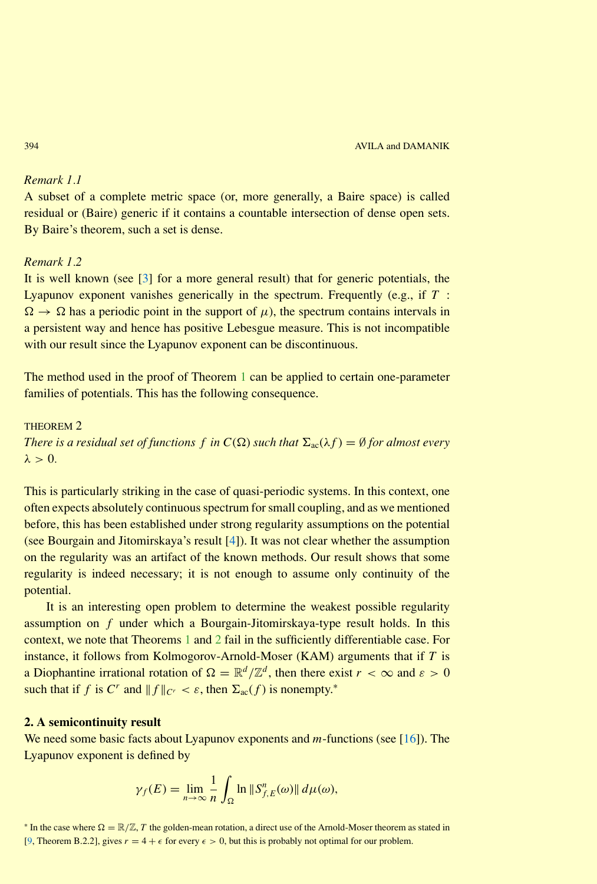# <span id="page-1-1"></span>*Remark 1.1*

A subset of a complete metric space (or, more generally, a Baire space) is called residual or (Baire) generic if it contains a countable intersection of dense open sets. By Baire's theorem, such a set is dense.

### *Remark 1.2*

It is well known (see [\[3\]](#page-6-1) for a more general result) that for generic potentials, the Lyapunov exponent vanishes generically in the spectrum. Frequently (e.g., if *T* :  $\Omega \rightarrow \Omega$  has a periodic point in the support of  $\mu$ ), the spectrum contains intervals in a persistent way and hence has positive Lebesgue measure. This is not incompatible with our result since the Lyapunov exponent can be discontinuous.

<span id="page-1-0"></span>The method used in the proof of Theorem [1](#page-0-0) can be applied to certain one-parameter families of potentials. This has the following consequence.

### THEOREM 2

*There is a residual set of functions f in*  $C(\Omega)$  *such that*  $\Sigma_{\rm ac}(\lambda f) = \emptyset$  *for almost every*  $\lambda > 0$ .

This is particularly striking in the case of quasi-periodic systems. In this context, one often expects absolutely continuous spectrum for small coupling, and as we mentioned before, this has been established under strong regularity assumptions on the potential (see Bourgain and Jitomirskaya's result [\[4\]](#page-6-2)). It was not clear whether the assumption on the regularity was an artifact of the known methods. Our result shows that some regularity is indeed necessary; it is not enough to assume only continuity of the potential.

It is an interesting open problem to determine the weakest possible regularity assumption on *f* under which a Bourgain-Jitomirskaya-type result holds. In this context, we note that Theorems [1](#page-0-0) and [2](#page-1-0) fail in the sufficiently differentiable case. For instance, it follows from Kolmogorov-Arnold-Moser (KAM) arguments that if *T* is a Diophantine irrational rotation of  $\Omega = \mathbb{R}^d / \mathbb{Z}^d$ , then there exist  $r < \infty$  and  $\varepsilon > 0$ such that if *f* is  $C^r$  and  $||f||_{C^r} < \varepsilon$ , then  $\Sigma_{ac}(f)$  is nonempty.<sup>\*</sup>

# **2. A semicontinuity result**

We need some basic facts about Lyapunov exponents and *m*-functions (see [\[16\]](#page-7-8)). The Lyapunov exponent is defined by

$$
\gamma_f(E) = \lim_{n \to \infty} \frac{1}{n} \int_{\Omega} \ln \|S_{f,E}^n(\omega)\| d\mu(\omega),
$$

<sup>\*</sup> In the case where  $\Omega = \mathbb{R}/\mathbb{Z}$ , *T* the golden-mean rotation, a direct use of the Arnold-Moser theorem as stated in [\[9,](#page-7-9) Theorem B.2.2], gives  $r = 4 + \epsilon$  for every  $\epsilon > 0$ , but this is probably not optimal for our problem.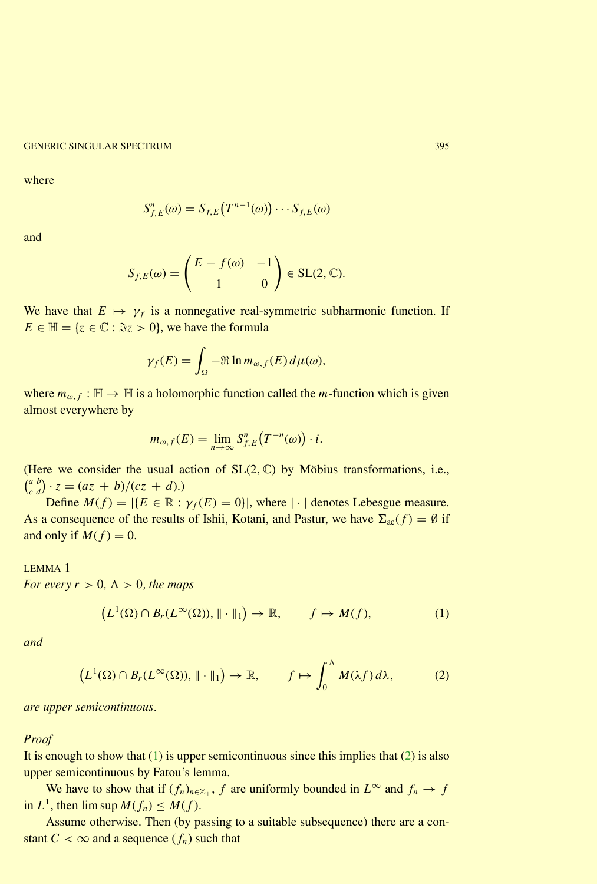GENERIC SINGULAR SPECTRUM **395** (SENERIC SINGULAR SPECTRUM 395)

where

$$
S_{f,E}^n(\omega) = S_{f,E}(T^{n-1}(\omega)) \cdots S_{f,E}(\omega)
$$

and

$$
S_{f,E}(\omega) = \begin{pmatrix} E - f(\omega) & -1 \\ 1 & 0 \end{pmatrix} \in SL(2, \mathbb{C}).
$$

We have that  $E \mapsto \gamma_f$  is a nonnegative real-symmetric subharmonic function. If  $E \in \mathbb{H} = \{z \in \mathbb{C} : \Im z > 0\}$ , we have the formula

$$
\gamma_f(E) = \int_{\Omega} -\Re \ln m_{\omega, f}(E) \, d\mu(\omega),
$$

where  $m_{\omega, f} : \mathbb{H} \to \mathbb{H}$  is a holomorphic function called the *m*-function which is given almost everywhere by

$$
m_{\omega,f}(E) = \lim_{n \to \infty} S_{f,E}^n(T^{-n}(\omega)) \cdot i.
$$

(Here we consider the usual action of  $SL(2, \mathbb{C})$  by Möbius transformations, i.e.,  $\int_{c}^{a} \frac{b}{d}$  $\int_{c}^{a} \int_{d}^{b} (cz + b)/(cz + d).$ 

Define  $M(f) = |\{E \in \mathbb{R} : \gamma_f(E) = 0\}|$ , where  $|\cdot|$  denotes Lebesgue measure. As a consequence of the results of Ishii, Kotani, and Pastur, we have  $\Sigma_{ac}(f) = \emptyset$  if and only if  $M(f) = 0$ .

LEMMA 1 *For every*  $r > 0$ ,  $\Lambda > 0$ , the maps

<span id="page-2-0"></span>
$$
\left(L^1(\Omega)\cap B_r(L^{\infty}(\Omega)),\|\cdot\|_1\right)\to\mathbb{R},\qquad f\mapsto M(f),\tag{1}
$$

<span id="page-2-1"></span>*and*

$$
\left(L^1(\Omega)\cap B_r(L^{\infty}(\Omega)),\|\cdot\|_1\right)\to\mathbb{R},\qquad f\mapsto\int_0^{\Lambda}M(\lambda f)\,d\lambda,\tag{2}
$$

*are upper semicontinuous.*

### *Proof*

It is enough to show that  $(1)$  is upper semicontinuous since this implies that  $(2)$  is also upper semicontinuous by Fatou's lemma.

We have to show that if  $(f_n)_{n \in \mathbb{Z}_+}$ , *f* are uniformly bounded in  $L^\infty$  and  $f_n \to f$ in  $L^1$ , then  $\limsup M(f_n) \leq M(f)$ .

Assume otherwise. Then (by passing to a suitable subsequence) there are a constant  $C < \infty$  and a sequence  $(f_n)$  such that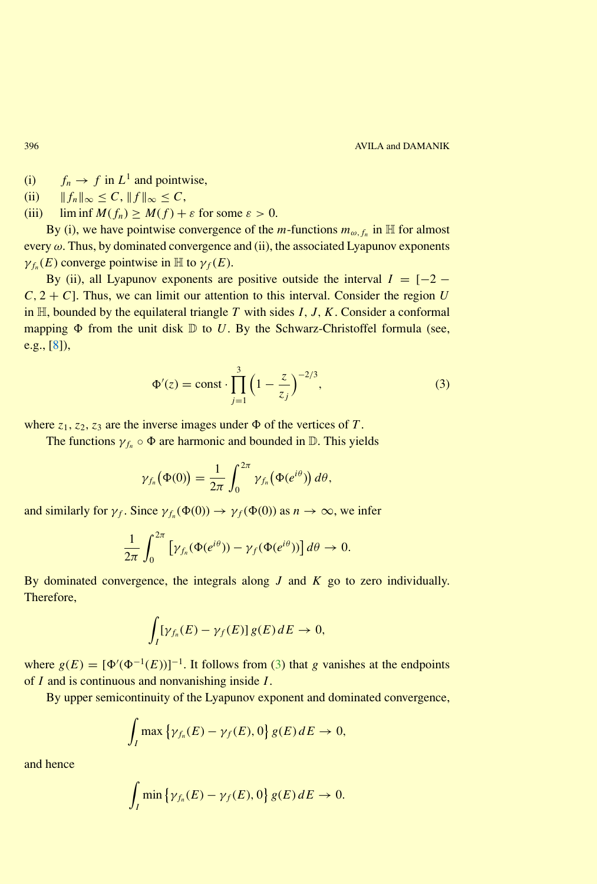<span id="page-3-1"></span>(i)  $f_n \to f$  in  $L^1$  and pointwise,

- (ii)  $||f_n||_{\infty} \leq C, ||f||_{\infty} \leq C,$
- (iii)  $\liminf M(f_n) \geq M(f) + \varepsilon$  for some  $\varepsilon > 0$ .

By (i), we have pointwise convergence of the *m*-functions  $m_{\omega, f_n}$  in  $\mathbb{H}$  for almost every *ω*. Thus, by dominated convergence and (ii), the associated Lyapunov exponents  $\gamma_{f_n}(E)$  converge pointwise in  $\mathbb H$  to  $\gamma_f(E)$ .

<span id="page-3-0"></span>By (ii), all Lyapunov exponents are positive outside the interval  $I = [-2 C$ ,  $2 + C$ ]. Thus, we can limit our attention to this interval. Consider the region *U* in  $H$ , bounded by the equilateral triangle *T* with sides *I*, *J*, *K*. Consider a conformal mapping  $\Phi$  from the unit disk  $\mathbb D$  to *U*. By the Schwarz-Christoffel formula (see, e.g., [\[8\]](#page-7-10)),

$$
\Phi'(z) = \text{const} \cdot \prod_{j=1}^{3} \left(1 - \frac{z}{z_j}\right)^{-2/3},\tag{3}
$$

where  $z_1$ ,  $z_2$ ,  $z_3$  are the inverse images under  $\Phi$  of the vertices of *T*.

The functions  $\gamma_{f_n} \circ \Phi$  are harmonic and bounded in  $\mathbb{D}$ . This yields

$$
\gamma_{f_n}(\Phi(0)) = \frac{1}{2\pi} \int_0^{2\pi} \gamma_{f_n}(\Phi(e^{i\theta})) d\theta,
$$

and similarly for  $\gamma_f$ . Since  $\gamma_{f_n}(\Phi(0)) \to \gamma_f(\Phi(0))$  as  $n \to \infty$ , we infer

$$
\frac{1}{2\pi} \int_0^{2\pi} \left[ \gamma_{f_n}(\Phi(e^{i\theta})) - \gamma_f(\Phi(e^{i\theta})) \right] d\theta \to 0.
$$

By dominated convergence, the integrals along *J* and *K* go to zero individually. Therefore,

$$
\int_I [\gamma_{f_n}(E) - \gamma_f(E)] g(E) dE \to 0,
$$

where  $g(E) = [\Phi'(\Phi^{-1}(E))]^{-1}$ . It follows from [\(3\)](#page-3-0) that *g* vanishes at the endpoints of *I* and is continuous and nonvanishing inside *I* .

By upper semicontinuity of the Lyapunov exponent and dominated convergence,

$$
\int_I \max \left\{ \gamma_{f_n}(E) - \gamma_f(E), 0 \right\} g(E) dE \to 0,
$$

and hence

$$
\int_I \min \left\{ \gamma_{f_n}(E) - \gamma_f(E), 0 \right\} g(E) dE \to 0.
$$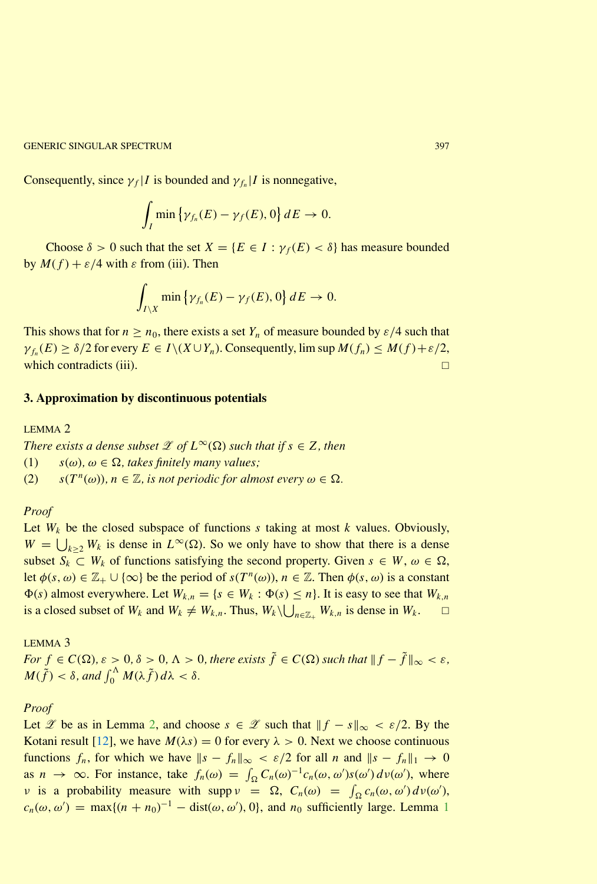<span id="page-4-1"></span>GENERIC SINGULAR SPECTRUM **397** 

Consequently, since  $\gamma_f$  *I* is bounded and  $\gamma_{f_n}$  *I* is nonnegative,

$$
\int_I \min \left\{ \gamma_{f_n}(E) - \gamma_f(E), 0 \right\} dE \to 0.
$$

Choose  $\delta > 0$  such that the set  $X = \{E \in I : \gamma_f(E) < \delta\}$  has measure bounded by *M*(*f* ) + *ε/*4 with *ε* from (iii). Then

$$
\int_{I\setminus X} \min\left\{\gamma_{f_n}(E)-\gamma_f(E),0\right\}dE\to 0.
$$

This shows that for  $n \ge n_0$ , there exists a set  $Y_n$  of measure bounded by  $\varepsilon/4$  such that  $\gamma_{f_n}(E) \geq \delta/2$  for every  $E \in I \setminus (X \cup Y_n)$ . Consequently, lim sup  $M(f_n) \leq M(f) + \varepsilon/2$ , which contradicts (iii).  $\Box$ 

#### **3. Approximation by discontinuous potentials**

#### LEMMA 2

*There exists a dense subset*  $\mathscr{L}$  *of*  $L^{\infty}(\Omega)$  *such that if*  $s \in Z$ *, then* (1)  $s(\omega), \omega \in \Omega$ , takes finitely many values; (2)  $s(T^n(\omega))$ ,  $n \in \mathbb{Z}$ , *is not periodic for almost every*  $\omega \in \Omega$ .

#### *Proof*

Let  $W_k$  be the closed subspace of functions  $s$  taking at most  $k$  values. Obviously,  $W = \bigcup_{k \geq 2} W_k$  is dense in  $L^{\infty}(\Omega)$ . So we only have to show that there is a dense subset  $S_k \subset W_k$  of functions satisfying the second property. Given  $s \in W$ ,  $\omega \in \Omega$ , let  $\phi(s, \omega) \in \mathbb{Z}_+ \cup \{\infty\}$  be the period of  $s(T^n(\omega))$ ,  $n \in \mathbb{Z}$ . Then  $\phi(s, \omega)$  is a constant  $\Phi(s)$  almost everywhere. Let  $W_{k,n} = \{s \in W_k : \Phi(s) \leq n\}$ . It is easy to see that  $W_{k,n}$ is a closed subset of  $W_k$  and  $W_k \neq W_{k,n}$ . Thus,  $W_k \setminus \bigcup_{n \in \mathbb{Z}_+} W_{k,n}$  is dense in  $W_k$ .

<span id="page-4-0"></span>LEMMA 3

*For*  $f \in C(\Omega)$ ,  $\varepsilon > 0$ ,  $\delta > 0$ ,  $\Lambda > 0$ , there exists  $\tilde{f} \in C(\Omega)$  such that  $||f - \tilde{f}||_{\infty} < \varepsilon$ ,  $M(\tilde{f}) < \delta$ , and  $\int_0^{\Lambda} M(\lambda \tilde{f}) d\lambda < \delta$ .

#### *Proof*

Let *L* be as in Lemma [2,](#page-1-0) and choose  $s \text{ ∈ } \mathcal{X}$  such that  $||f - s||_{\infty} < \varepsilon/2$ . By the Kotani result [\[12\]](#page-7-11), we have  $M(\lambda s) = 0$  for every  $\lambda > 0$ . Next we choose continuous functions  $f_n$ , for which we have  $||s - f_n||_{\infty} < \varepsilon/2$  for all *n* and  $||s - f_n||_1 \to 0$ as  $n \to \infty$ . For instance, take  $f_n(\omega) = \int_{\Omega} C_n(\omega)^{-1} c_n(\omega, \omega') s(\omega') d\nu(\omega')$ , where *ν* is a probability measure with supp  $\nu = \Omega$ ,  $C_n(\omega) = \int_{\Omega} c_n(\omega, \omega') d\nu(\omega')$ ,  $c_n(\omega, \omega') = \max\{(n + n_0)^{-1} - \text{dist}(\omega, \omega'), 0\}$  $c_n(\omega, \omega') = \max\{(n + n_0)^{-1} - \text{dist}(\omega, \omega'), 0\}$  $c_n(\omega, \omega') = \max\{(n + n_0)^{-1} - \text{dist}(\omega, \omega'), 0\}$ , and  $n_0$  sufficiently large. Lemma 1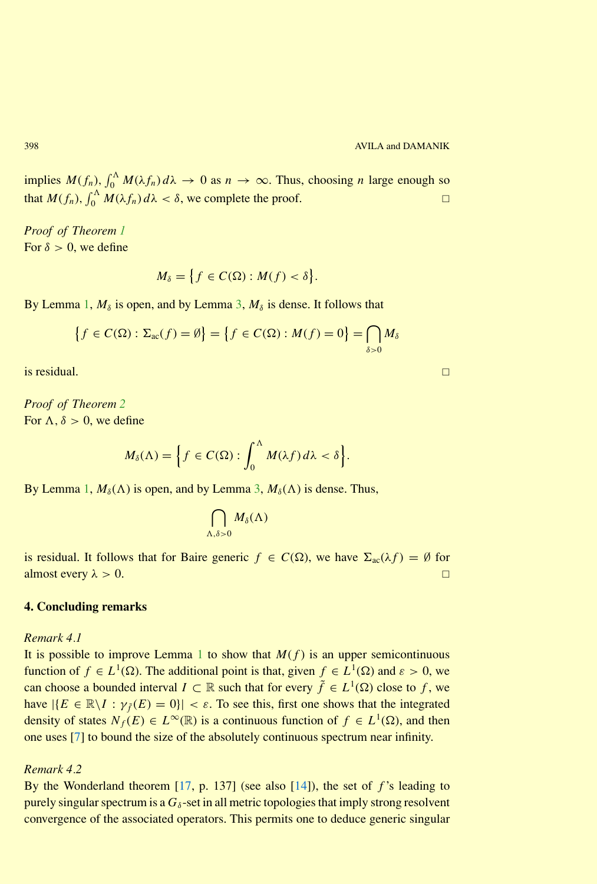implies  $M(f_n)$ ,  $\int_0^{\Lambda} M(\lambda f_n) d\lambda \to 0$  as  $n \to \infty$ . Thus, choosing *n* large enough so that  $M(f_n)$ ,  $\int_0^{\Lambda} M(\lambda f_n) d\lambda < \delta$ , we complete the proof.

*Proof of Theorem [1](#page-0-0)* For  $\delta > 0$ , we define

$$
M_{\delta} = \{ f \in C(\Omega) : M(f) < \delta \}.
$$

By Lemma [1,](#page-0-0)  $M_\delta$  is open, and by Lemma [3,](#page-4-0)  $M_\delta$  is dense. It follows that

$$
\left\{f \in C(\Omega) : \Sigma_{\text{ac}}(f) = \emptyset\right\} = \left\{f \in C(\Omega) : M(f) = 0\right\} = \bigcap_{\delta > 0} M_{\delta}
$$

is residual.  $\Box$ 

*Proof of Theorem [2](#page-1-0)* For  $\Lambda$ ,  $\delta > 0$ , we define

$$
M_{\delta}(\Lambda) = \Big\{ f \in C(\Omega) : \int_0^{\Lambda} M(\lambda f) d\lambda < \delta \Big\}.
$$

By Lemma [1,](#page-0-0)  $M_\delta(\Lambda)$  is open, and by Lemma [3,](#page-4-0)  $M_\delta(\Lambda)$  is dense. Thus,

$$
\bigcap_{\Lambda,\delta>0}M_{\delta}(\Lambda)
$$

is residual. It follows that for Baire generic  $f \in C(\Omega)$ , we have  $\Sigma_{ac}(\lambda f) = \emptyset$  for almost every  $\lambda > 0$ .

# **4. Concluding remarks**

*Remark 4.1*

It is possible to improve Lemma [1](#page-0-0) to show that  $M(f)$  is an upper semicontinuous function of  $f \in L^1(\Omega)$ . The additional point is that, given  $f \in L^1(\Omega)$  and  $\varepsilon > 0$ , we can choose a bounded interval  $I \subset \mathbb{R}$  such that for every  $\tilde{f} \in L^1(\Omega)$  close to f, we have  $|\{E \in \mathbb{R} \setminus I : \gamma_{\tilde{f}}(E) = 0\}| < \varepsilon$ . To see this, first one shows that the integrated density of states  $N_f(E) \in L^{\infty}(\mathbb{R})$  is a continuous function of  $f \in L^1(\Omega)$ , and then one uses [\[7\]](#page-7-12) to bound the size of the absolutely continuous spectrum near infinity.

#### *Remark 4.2*

By the Wonderland theorem [\[17,](#page-7-13) p. 137] (see also [\[14\]](#page-7-14)), the set of *f* 's leading to purely singular spectrum is a  $G_{\delta}$ -set in all metric topologies that imply strong resolvent convergence of the associated operators. This permits one to deduce generic singular

<span id="page-5-0"></span>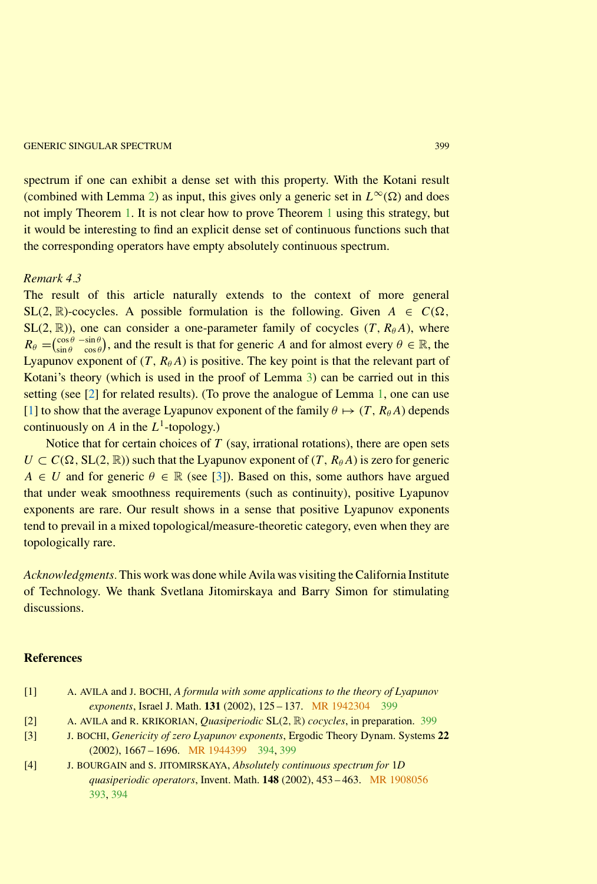#### <span id="page-6-5"></span>**GENERIC SINGULAR SPECTRUM** 399

spectrum if one can exhibit a dense set with this property. With the Kotani result (combined with Lemma [2\)](#page-1-0) as input, this gives only a generic set in  $L^{\infty}(\Omega)$  and does not imply Theorem [1.](#page-0-0) It is not clear how to prove Theorem [1](#page-0-0) using this strategy, but it would be interesting to find an explicit dense set of continuous functions such that the corresponding operators have empty absolutely continuous spectrum.

# *Remark 4.3*

The result of this article naturally extends to the context of more general SL(2, R)-cocycles. A possible formulation is the following. Given  $A \in C(\Omega)$ ,  $SL(2, \mathbb{R})$ ), one can consider a one-parameter family of cocycles  $(T, R_{\theta}A)$ , where  $R_{\theta} = \begin{pmatrix} \cos \theta & -\sin \theta \\ \sin \theta & \cos \theta \end{pmatrix}$  $\frac{\cos \theta}{\sin \theta} - \frac{\sin \theta}{\cos \theta}$ , and the result is that for generic *A* and for almost every  $\theta \in \mathbb{R}$ , the Lyapunov exponent of  $(T, R_{\theta}A)$  is positive. The key point is that the relevant part of Kotani's theory (which is used in the proof of Lemma [3\)](#page-4-0) can be carried out in this setting (see [\[2\]](#page-6-3) for related results). (To prove the analogue of Lemma [1,](#page-0-0) one can use [\[1\]](#page-6-4) to show that the average Lyapunov exponent of the family  $\theta \mapsto (T, R_{\theta}A)$  depends continuously on *A* in the  $L^1$ -topology.)

Notice that for certain choices of *T* (say, irrational rotations), there are open sets  $U \subset C(\Omega, SL(2, \mathbb{R}))$  such that the Lyapunov exponent of  $(T, R_{\theta}A)$  is zero for generic *A*  $\in$  *U* and for generic  $\theta \in \mathbb{R}$  (see [\[3\]](#page-6-1)). Based on this, some authors have argued that under weak smoothness requirements (such as continuity), positive Lyapunov exponents are rare. Our result shows in a sense that positive Lyapunov exponents tend to prevail in a mixed topological/measure-theoretic category, even when they are topologically rare.

*Acknowledgments.* This work was done while Avila was visiting the California Institute of Technology. We thank Svetlana Jitomirskaya and Barry Simon for stimulating discussions.

# <span id="page-6-4"></span><span id="page-6-0"></span>**References**

| $[1]$ | A. AVILA and J. BOCHI, A formula with some applications to the theory of Lyapunov |
|-------|-----------------------------------------------------------------------------------|
|       | exponents, Israel J. Math. 131 (2002), 125 – 137. MR 1942304 399                  |

- <span id="page-6-3"></span><span id="page-6-1"></span>[2] A. AVILA and R. KRIKORIAN, *Quasiperiodic* SL(2*,* R) *cocycles*, in preparation. [399](#page-6-5)
- [3] J. BOCHI, *Genericity of zero Lyapunov exponents*, Ergodic Theory Dynam. Systems **22** (2002), 1667 – 1696. [MR 1944399](http://www.ams.org/mathscinet-getitem?mr=1944399) [394,](#page-1-1) [399](#page-6-5)
- <span id="page-6-2"></span>[4] J. BOURGAIN and S. JITOMIRSKAYA, *Absolutely continuous spectrum for* 1*D quasiperiodic operators*, Invent. Math. **148** (2002), 453 – 463. [MR 1908056](http://www.ams.org/mathscinet-getitem?mr=1908056) [393,](#page-0-1) [394](#page-1-1)